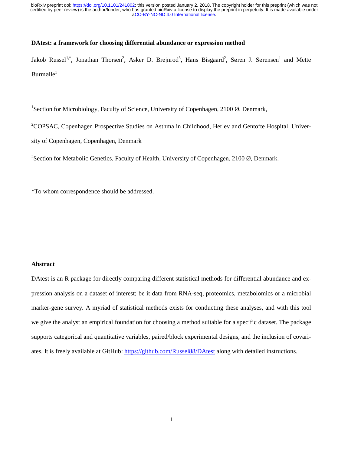# **DAtest: a framework for choosing differential abundance or expression method**

Jakob Russel<sup>1,\*</sup>, Jonathan Thorsen<sup>2</sup>, Asker D. Brejnrod<sup>3</sup>, Hans Bisgaard<sup>2</sup>, Søren J. Sørensen<sup>1</sup> and Mette  $Burmølle<sup>1</sup>$ 

<sup>1</sup>Section for Microbiology, Faculty of Science, University of Copenhagen, 2100 Ø, Denmark,

<sup>2</sup>COPSAC, Copenhagen Prospective Studies on Asthma in Childhood, Herlev and Gentofte Hospital, Univer-

sity of Copenhagen, Copenhagen, Denmark

<sup>3</sup>Section for Metabolic Genetics, Faculty of Health, University of Copenhagen, 2100  $\emptyset$ , Denmark.

\*To whom correspondence should be addressed.

#### **Abstract**

DAtest is an R package for directly comparing different statistical methods for differential abundance and expression analysis on a dataset of interest; be it data from RNA-seq, proteomics, metabolomics or a microbial marker-gene survey. A myriad of statistical methods exists for conducting these analyses, and with this tool we give the analyst an empirical foundation for choosing a method suitable for a specific dataset. The package supports categorical and quantitative variables, paired/block experimental designs, and the inclusion of covariates. It is freely available at GitHub: https://github.com/Russel88/DAtest along with detailed instructions.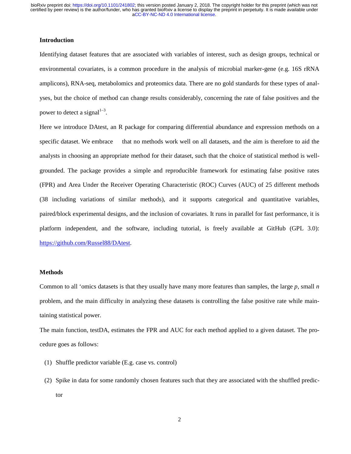# **Introduction**

Identifying dataset features that are associated with variables of interest, such as design groups, technical or environmental covariates, is a common procedure in the analysis of microbial marker-gene (e.g. 16S rRNA amplicons), RNA-seq, metabolomics and proteomics data. There are no gold standards for these types of analyses, but the choice of method can change results considerably, concerning the rate of false positives and the power to detect a signal<sup>1-3</sup>.

Here we introduce DAtest, an R package for comparing differential abundance and expression methods on a specific dataset. We embrace that no methods work well on all datasets, and the aim is therefore to aid the analysts in choosing an appropriate method for their dataset, such that the choice of statistical method is wellgrounded. The package provides a simple and reproducible framework for estimating false positive rates (FPR) and Area Under the Receiver Operating Characteristic (ROC) Curves (AUC) of 25 different methods (38 including variations of similar methods), and it supports categorical and quantitative variables, paired/block experimental designs, and the inclusion of covariates. It runs in parallel for fast performance, it is platform independent, and the software, including tutorial, is freely available at GitHub (GPL 3.0): https://github.com/Russel88/DAtest.

### **Methods**

Common to all 'omics datasets is that they usually have many more features than samples, the large *p*, small *n* problem, and the main difficulty in analyzing these datasets is controlling the false positive rate while maintaining statistical power.

The main function, testDA, estimates the FPR and AUC for each method applied to a given dataset. The procedure goes as follows:

- (1) Shuffle predictor variable (E.g. case vs. control)
- (2) Spike in data for some randomly chosen features such that they are associated with the shuffled predictor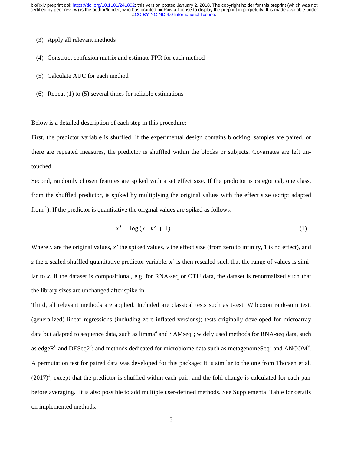## (3) Apply all relevant methods

- (4) Construct confusion matrix and estimate FPR for each method
- (5) Calculate AUC for each method
- (6) Repeat (1) to (5) several times for reliable estimations

Below is a detailed description of each step in this procedure:

First, the predictor variable is shuffled. If the experimental design contains blocking, samples are paired, or there are repeated measures, the predictor is shuffled within the blocks or subjects. Covariates are left untouched.

Second, randomly chosen features are spiked with a set effect size. If the predictor is categorical, one class, from the shuffled predictor, is spiked by multiplying the original values with the effect size (script adapted from  $<sup>1</sup>$ ). If the predictor is quantitative the original values are spiked as follows:</sup>

$$
x' = \log(x \cdot v^z + 1) \tag{1}
$$

Where *x* are the original values,  $x'$  the spiked values,  $y$  the effect size (from zero to infinity, 1 is no effect), and *z* the z-scaled shuffled quantitative predictor variable. *x'* is then rescaled such that the range of values is similar to *x*. If the dataset is compositional, e.g. for RNA-seq or OTU data, the dataset is renormalized such that the library sizes are unchanged after spike-in.

Third, all relevant methods are applied. Included are classical tests such as t-test, Wilcoxon rank-sum test, (generalized) linear regressions (including zero-inflated versions); tests originally developed for microarray data but adapted to sequence data, such as  $limma<sup>4</sup>$  and  $SAMseq<sup>5</sup>$ ; widely used methods for RNA-seq data, such as edgeR<sup>6</sup> and DESeq2<sup>7</sup>; and methods dedicated for microbiome data such as metagenomeSeq<sup>8</sup> and ANCOM<sup>9</sup>. A permutation test for paired data was developed for this package: It is similar to the one from Thorsen et al.  $(2017)^1$ , except that the predictor is shuffled within each pair, and the fold change is calculated for each pair before averaging. It is also possible to add multiple user-defined methods. See Supplemental Table for details on implemented methods.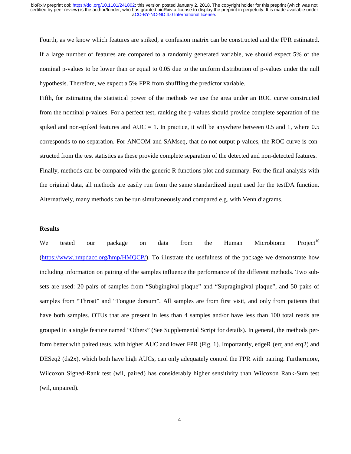Fourth, as we know which features are spiked, a confusion matrix can be constructed and the FPR estimated. If a large number of features are compared to a randomly generated variable, we should expect 5% of the nominal p-values to be lower than or equal to 0.05 due to the uniform distribution of p-values under the null hypothesis. Therefore, we expect a 5% FPR from shuffling the predictor variable.

Fifth, for estimating the statistical power of the methods we use the area under an ROC curve constructed from the nominal p-values. For a perfect test, ranking the p-values should provide complete separation of the spiked and non-spiked features and  $AUC = 1$ . In practice, it will be anywhere between 0.5 and 1, where 0.5 corresponds to no separation. For ANCOM and SAMseq, that do not output p-values, the ROC curve is constructed from the test statistics as these provide complete separation of the detected and non-detected features. Finally, methods can be compared with the generic R functions plot and summary. For the final analysis with the original data, all methods are easily run from the same standardized input used for the testDA function. Alternatively, many methods can be run simultaneously and compared e.g. with Venn diagrams.

#### **Results**

We tested our package on data from the Human Microbiome Project<sup>10</sup> (https://www.hmpdacc.org/hmp/HMQCP/). To illustrate the usefulness of the package we demonstrate how including information on pairing of the samples influence the performance of the different methods. Two subsets are used: 20 pairs of samples from "Subgingival plaque" and "Supragingival plaque", and 50 pairs of samples from "Throat" and "Tongue dorsum". All samples are from first visit, and only from patients that have both samples. OTUs that are present in less than 4 samples and/or have less than 100 total reads are grouped in a single feature named "Others" (See Supplemental Script for details). In general, the methods perform better with paired tests, with higher AUC and lower FPR (Fig. 1). Importantly, edgeR (erq and erq2) and DESeq2 (ds2x), which both have high AUCs, can only adequately control the FPR with pairing. Furthermore, Wilcoxon Signed-Rank test (wil, paired) has considerably higher sensitivity than Wilcoxon Rank-Sum test (wil, unpaired).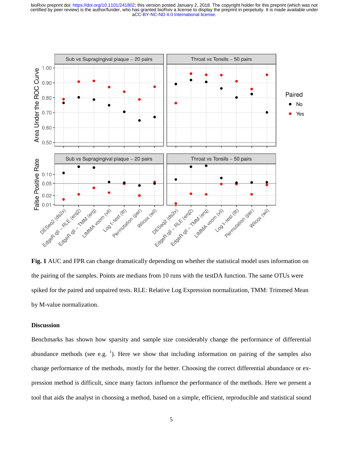

**Fig. 1** AUC and FPR can change dramatically depending on whether the statistical model uses information on the pairing of the samples. Points are medians from 10 runs with the testDA function. The same OTUs were spiked for the paired and unpaired tests. RLE: Relative Log Expression normalization, TMM: Trimmed Mean by M-value normalization.

#### **Discussion**

Benchmarks has shown how sparsity and sample size considerably change the performance of differential abundance methods (see e.g.  $<sup>1</sup>$ ). Here we show that including information on pairing of the samples also</sup> change performance of the methods, mostly for the better. Choosing the correct differential abundance or expression method is difficult, since many factors influence the performance of the methods. Here we present a tool that aids the analyst in choosing a method, based on a simple, efficient, reproducible and statistical sound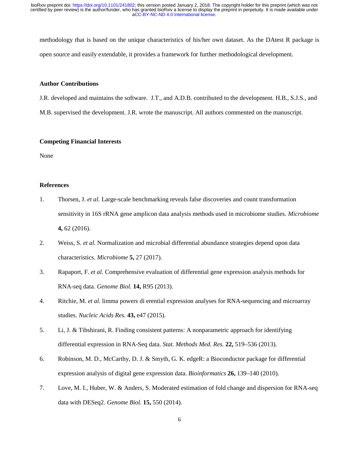methodology that is based on the unique characteristics of his/her own dataset. As the DAtest R package is open source and easily extendable, it provides a framework for further methodological development.

## **Author Contributions**

J.R. developed and maintains the software. J.T., and A.D.B. contributed to the development. H.B., S.J.S., and M.B. supervised the development. J.R. wrote the manuscript. All authors commented on the manuscript.

# **Competing Financial Interests**

None

## **References**

- 1. Thorsen, J. *et al.* Large-scale benchmarking reveals false discoveries and count transformation sensitivity in 16S rRNA gene amplicon data analysis methods used in microbiome studies. *Microbiome* **4,** 62 (2016).
- 2. Weiss, S. *et al.* Normalization and microbial differential abundance strategies depend upon data characteristics. *Microbiome* **5,** 27 (2017).
- 3. Rapaport, F. *et al.* Comprehensive evaluation of differential gene expression analysis methods for RNA-seq data. *Genome Biol.* **14,** R95 (2013).
- 4. Ritchie, M. *et al.* limma powers di erential expression analyses for RNA-sequencing and microarray studies. *Nucleic Acids Res.* **43,** e47 (2015).
- 5. Li, J. & Tibshirani, R. Finding consistent patterns: A nonparametric approach for identifying differential expression in RNA-Seq data. *Stat. Methods Med. Res.* **22,** 519–536 (2013).
- 6. Robinson, M. D., McCarthy, D. J. & Smyth, G. K. edgeR: a Bioconductor package for differential expression analysis of digital gene expression data. *Bioinformatics* **26,** 139–140 (2010).
- 7. Love, M. I., Huber, W. & Anders, S. Moderated estimation of fold change and dispersion for RNA-seq data with DESeq2. *Genome Biol.* **15,** 550 (2014).